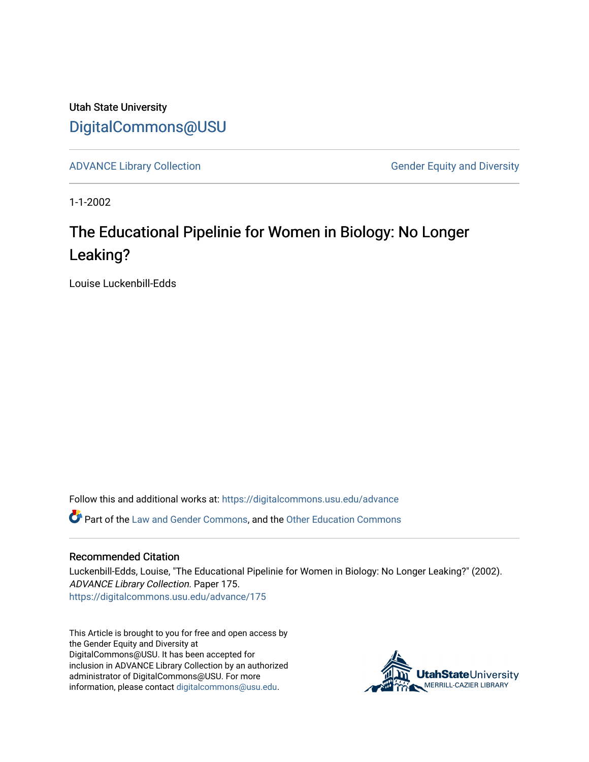Utah State University [DigitalCommons@USU](https://digitalcommons.usu.edu/)

[ADVANCE Library Collection](https://digitalcommons.usu.edu/advance) **Gender Equity and Diversity** 

1-1-2002

# The Educational Pipelinie for Women in Biology: No Longer Leaking?

Louise Luckenbill-Edds

Follow this and additional works at: [https://digitalcommons.usu.edu/advance](https://digitalcommons.usu.edu/advance?utm_source=digitalcommons.usu.edu%2Fadvance%2F175&utm_medium=PDF&utm_campaign=PDFCoverPages) 

Part of the [Law and Gender Commons,](http://network.bepress.com/hgg/discipline/1298?utm_source=digitalcommons.usu.edu%2Fadvance%2F175&utm_medium=PDF&utm_campaign=PDFCoverPages) and the [Other Education Commons](http://network.bepress.com/hgg/discipline/811?utm_source=digitalcommons.usu.edu%2Fadvance%2F175&utm_medium=PDF&utm_campaign=PDFCoverPages)

#### Recommended Citation

Luckenbill-Edds, Louise, "The Educational Pipelinie for Women in Biology: No Longer Leaking?" (2002). ADVANCE Library Collection. Paper 175. [https://digitalcommons.usu.edu/advance/175](https://digitalcommons.usu.edu/advance/175?utm_source=digitalcommons.usu.edu%2Fadvance%2F175&utm_medium=PDF&utm_campaign=PDFCoverPages) 

This Article is brought to you for free and open access by the Gender Equity and Diversity at DigitalCommons@USU. It has been accepted for inclusion in ADVANCE Library Collection by an authorized administrator of DigitalCommons@USU. For more information, please contact [digitalcommons@usu.edu](mailto:digitalcommons@usu.edu).

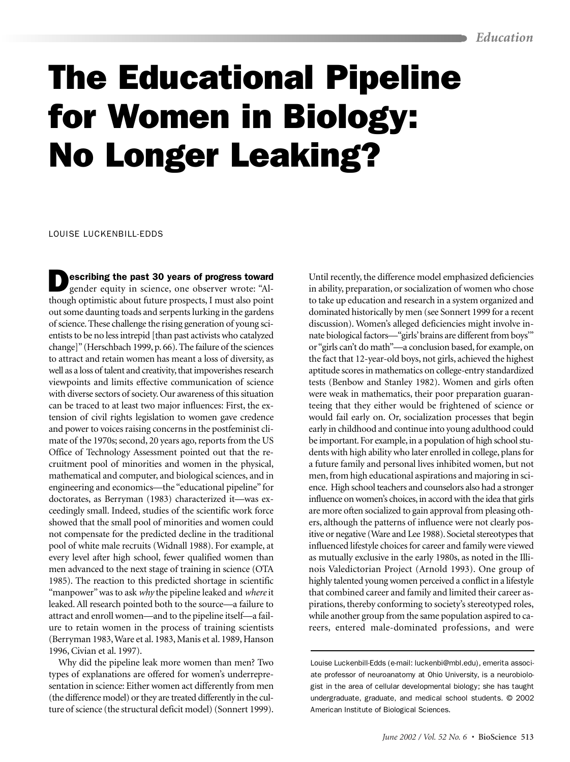# The Educational Pipeline for Women in Biology: No Longer Leaking?

LOUISE LUCKENBILL-EDDS

escribing the past 30 years of progress toward gender equity in science, one observer wrote: "Although optimistic about future prospects, I must also point out some daunting toads and serpents lurking in the gardens of science. These challenge the rising generation of young scientists to be no less intrepid [than past activists who catalyzed change]"(Herschbach 1999, p. 66). The failure of the sciences to attract and retain women has meant a loss of diversity, as well as a loss of talent and creativity, that impoverishes research viewpoints and limits effective communication of science with diverse sectors of society. Our awareness of this situation can be traced to at least two major influences: First, the extension of civil rights legislation to women gave credence and power to voices raising concerns in the postfeminist climate of the 1970s; second, 20 years ago, reports from the US Office of Technology Assessment pointed out that the recruitment pool of minorities and women in the physical, mathematical and computer, and biological sciences, and in engineering and economics—the "educational pipeline" for doctorates, as Berryman (1983) characterized it—was exceedingly small. Indeed, studies of the scientific work force showed that the small pool of minorities and women could not compensate for the predicted decline in the traditional pool of white male recruits (Widnall 1988). For example, at every level after high school, fewer qualified women than men advanced to the next stage of training in science (OTA 1985). The reaction to this predicted shortage in scientific "manpower" was to ask *why* the pipeline leaked and *where*it leaked. All research pointed both to the source—a failure to attract and enroll women—and to the pipeline itself—a failure to retain women in the process of training scientists (Berryman 1983, Ware et al. 1983, Manis et al. 1989, Hanson 1996, Civian et al. 1997).

Why did the pipeline leak more women than men? Two types of explanations are offered for women's underrepresentation in science: Either women act differently from men (the difference model) or they are treated differently in the culture of science (the structural deficit model) (Sonnert 1999).

Until recently, the difference model emphasized deficiencies in ability, preparation, or socialization of women who chose to take up education and research in a system organized and dominated historically by men (see Sonnert 1999 for a recent discussion). Women's alleged deficiencies might involve innate biological factors—"girls' brains are different from boys'" or "girls can't do math"—a conclusion based, for example, on the fact that 12-year-old boys, not girls, achieved the highest aptitude scores in mathematics on college-entry standardized tests (Benbow and Stanley 1982). Women and girls often were weak in mathematics, their poor preparation guaranteeing that they either would be frightened of science or would fail early on. Or, socialization processes that begin early in childhood and continue into young adulthood could be important. For example, in a population of high school students with high ability who later enrolled in college, plans for a future family and personal lives inhibited women, but not men, from high educational aspirations and majoring in science. High school teachers and counselors also had a stronger influence on women's choices, in accord with the idea that girls are more often socialized to gain approval from pleasing others, although the patterns of influence were not clearly positive or negative (Ware and Lee 1988). Societal stereotypes that influenced lifestyle choices for career and family were viewed as mutually exclusive in the early 1980s, as noted in the Illinois Valedictorian Project (Arnold 1993). One group of highly talented young women perceived a conflict in a lifestyle that combined career and family and limited their career aspirations, thereby conforming to society's stereotyped roles, while another group from the same population aspired to careers, entered male-dominated professions, and were

Louise Luckenbill-Edds (e-mail: luckenbi@mbl.edu), emerita associate professor of neuroanatomy at Ohio University, is a neurobiologist in the area of cellular developmental biology; she has taught undergraduate, graduate, and medical school students. © 2002 American Institute of Biological Sciences.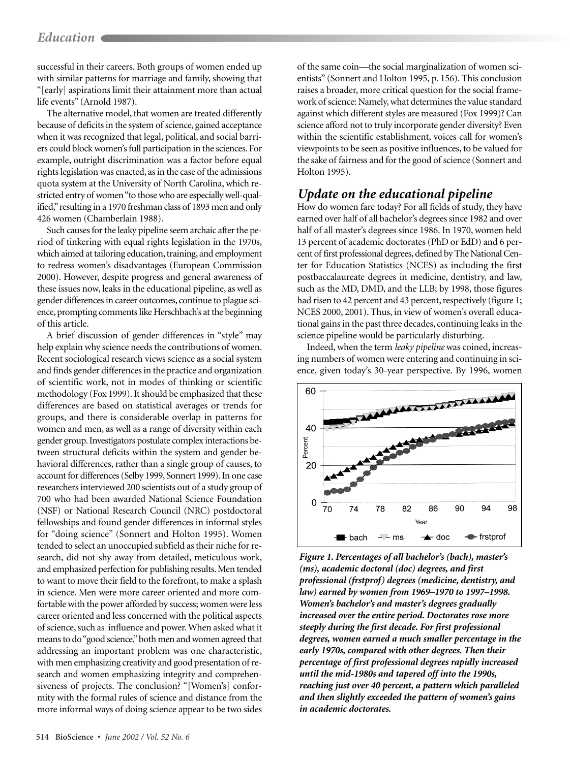successful in their careers. Both groups of women ended up with similar patterns for marriage and family, showing that "[early] aspirations limit their attainment more than actual life events" (Arnold 1987).

The alternative model, that women are treated differently because of deficits in the system of science, gained acceptance when it was recognized that legal, political, and social barriers could block women's full participation in the sciences. For example, outright discrimination was a factor before equal rights legislation was enacted, as in the case of the admissions quota system at the University of North Carolina, which restricted entry of women "to those who are especially well-qualified," resulting in a 1970 freshman class of 1893 men and only 426 women (Chamberlain 1988).

Such causes for the leaky pipeline seem archaic after the period of tinkering with equal rights legislation in the 1970s, which aimed at tailoring education, training, and employment to redress women's disadvantages (European Commission 2000). However, despite progress and general awareness of these issues now, leaks in the educational pipeline, as well as gender differences in career outcomes, continue to plague science, prompting comments like Herschbach's at the beginning of this article.

A brief discussion of gender differences in "style" may help explain why science needs the contributions of women. Recent sociological research views science as a social system and finds gender differences in the practice and organization of scientific work, not in modes of thinking or scientific methodology (Fox 1999). It should be emphasized that these differences are based on statistical averages or trends for groups, and there is considerable overlap in patterns for women and men, as well as a range of diversity within each gender group. Investigators postulate complex interactions between structural deficits within the system and gender behavioral differences, rather than a single group of causes, to account for differences (Selby 1999, Sonnert 1999). In one case researchers interviewed 200 scientists out of a study group of 700 who had been awarded National Science Foundation (NSF) or National Research Council (NRC) postdoctoral fellowships and found gender differences in informal styles for "doing science" (Sonnert and Holton 1995). Women tended to select an unoccupied subfield as their niche for research, did not shy away from detailed, meticulous work, and emphasized perfection for publishing results. Men tended to want to move their field to the forefront, to make a splash in science. Men were more career oriented and more comfortable with the power afforded by success; women were less career oriented and less concerned with the political aspects of science, such as influence and power. When asked what it means to do "good science,"both men and women agreed that addressing an important problem was one characteristic, with men emphasizing creativity and good presentation of research and women emphasizing integrity and comprehensiveness of projects. The conclusion? "[Women's] conformity with the formal rules of science and distance from the more informal ways of doing science appear to be two sides of the same coin—the social marginalization of women scientists" (Sonnert and Holton 1995, p. 156). This conclusion raises a broader, more critical question for the social framework of science: Namely, what determines the value standard against which different styles are measured (Fox 1999)? Can science afford not to truly incorporate gender diversity? Even within the scientific establishment, voices call for women's viewpoints to be seen as positive influences, to be valued for the sake of fairness and for the good of science (Sonnert and Holton 1995).

# *Update on the educational pipeline*

How do women fare today? For all fields of study, they have earned over half of all bachelor's degrees since 1982 and over half of all master's degrees since 1986. In 1970, women held 13 percent of academic doctorates (PhD or EdD) and 6 percent of first professional degrees, defined by The National Center for Education Statistics (NCES) as including the first postbaccalaureate degrees in medicine, dentistry, and law, such as the MD, DMD, and the LLB; by 1998, those figures had risen to 42 percent and 43 percent, respectively (figure 1; NCES 2000, 2001). Thus, in view of women's overall educational gains in the past three decades, continuing leaks in the science pipeline would be particularly disturbing.

Indeed, when the term *leaky pipeline* was coined, increasing numbers of women were entering and continuing in science, given today's 30-year perspective. By 1996, women



*Figure 1. Percentages of all bachelor's (bach), master's (ms), academic doctoral (doc) degrees, and first professional (frstprof) degrees (medicine, dentistry, and law) earned by women from 1969–1970 to 1997–1998. Women's bachelor's and master's degrees gradually increased over the entire period. Doctorates rose more steeply during the first decade. For first professional degrees, women earned a much smaller percentage in the early 1970s, compared with other degrees. Then their percentage of first professional degrees rapidly increased until the mid-1980s and tapered off into the 1990s, reaching just over 40 percent, a pattern which paralleled and then slightly exceeded the pattern of women's gains in academic doctorates.*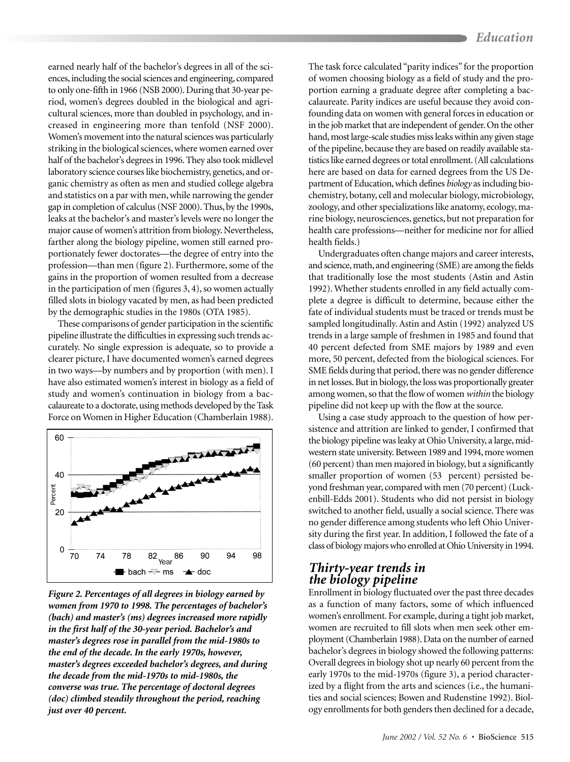earned nearly half of the bachelor's degrees in all of the sciences, including the social sciences and engineering, compared to only one-fifth in 1966 (NSB 2000). During that 30-year period, women's degrees doubled in the biological and agricultural sciences, more than doubled in psychology, and increased in engineering more than tenfold (NSF 2000). Women's movement into the natural sciences was particularly striking in the biological sciences, where women earned over half of the bachelor's degrees in 1996. They also took midlevel laboratory science courses like biochemistry, genetics, and organic chemistry as often as men and studied college algebra and statistics on a par with men, while narrowing the gender gap in completion of calculus (NSF 2000). Thus, by the 1990s, leaks at the bachelor's and master's levels were no longer the major cause of women's attrition from biology. Nevertheless, farther along the biology pipeline, women still earned proportionately fewer doctorates—the degree of entry into the profession—than men (figure 2). Furthermore, some of the gains in the proportion of women resulted from a decrease in the participation of men (figures 3, 4), so women actually filled slots in biology vacated by men, as had been predicted by the demographic studies in the 1980s (OTA 1985).

These comparisons of gender participation in the scientific pipeline illustrate the difficulties in expressing such trends accurately. No single expression is adequate, so to provide a clearer picture, I have documented women's earned degrees in two ways—by numbers and by proportion (with men). I have also estimated women's interest in biology as a field of study and women's continuation in biology from a baccalaureate to a doctorate, using methods developed by the Task Force on Women in Higher Education (Chamberlain 1988).



*Figure 2. Percentages of all degrees in biology earned by women from 1970 to 1998. The percentages of bachelor's (bach) and master's (ms) degrees increased more rapidly in the first half of the 30-year period. Bachelor's and master's degrees rose in parallel from the mid-1980s to the end of the decade. In the early 1970s, however, master's degrees exceeded bachelor's degrees, and during the decade from the mid-1970s to mid-1980s, the converse was true. The percentage of doctoral degrees (doc) climbed steadily throughout the period, reaching just over 40 percent.*

The task force calculated "parity indices" for the proportion of women choosing biology as a field of study and the proportion earning a graduate degree after completing a baccalaureate. Parity indices are useful because they avoid confounding data on women with general forces in education or in the job market that are independent of gender. On the other hand, most large-scale studies miss leaks within any given stage of the pipeline, because they are based on readily available statistics like earned degrees or total enrollment. (All calculations here are based on data for earned degrees from the US Department of Education, which defines *biology* as including biochemistry, botany, cell and molecular biology, microbiology, zoology, and other specializations like anatomy, ecology, marine biology, neurosciences, genetics, but not preparation for health care professions—neither for medicine nor for allied health fields.)

Undergraduates often change majors and career interests, and science, math, and engineering (SME) are among the fields that traditionally lose the most students (Astin and Astin 1992). Whether students enrolled in any field actually complete a degree is difficult to determine, because either the fate of individual students must be traced or trends must be sampled longitudinally. Astin and Astin (1992) analyzed US trends in a large sample of freshmen in 1985 and found that 40 percent defected from SME majors by 1989 and even more, 50 percent, defected from the biological sciences. For SME fields during that period, there was no gender difference in net losses. But in biology, the loss was proportionally greater among women, so that the flow of women *within* the biology pipeline did not keep up with the flow at the source.

Using a case study approach to the question of how persistence and attrition are linked to gender, I confirmed that the biology pipeline was leaky at Ohio University, a large, midwestern state university. Between 1989 and 1994, more women (60 percent) than men majored in biology, but a significantly smaller proportion of women (53 percent) persisted beyond freshman year, compared with men (70 percent) (Luckenbill-Edds 2001). Students who did not persist in biology switched to another field, usually a social science. There was no gender difference among students who left Ohio University during the first year. In addition, I followed the fate of a class of biology majors who enrolled at Ohio University in 1994.

#### *Thirty-year trends in the biology pipeline*

Enrollment in biology fluctuated over the past three decades as a function of many factors, some of which influenced women's enrollment. For example, during a tight job market, women are recruited to fill slots when men seek other employment (Chamberlain 1988). Data on the number of earned bachelor's degrees in biology showed the following patterns: Overall degrees in biology shot up nearly 60 percent from the early 1970s to the mid-1970s (figure 3), a period characterized by a flight from the arts and sciences (i.e., the humanities and social sciences; Bowen and Rudenstine 1992). Biology enrollments for both genders then declined for a decade,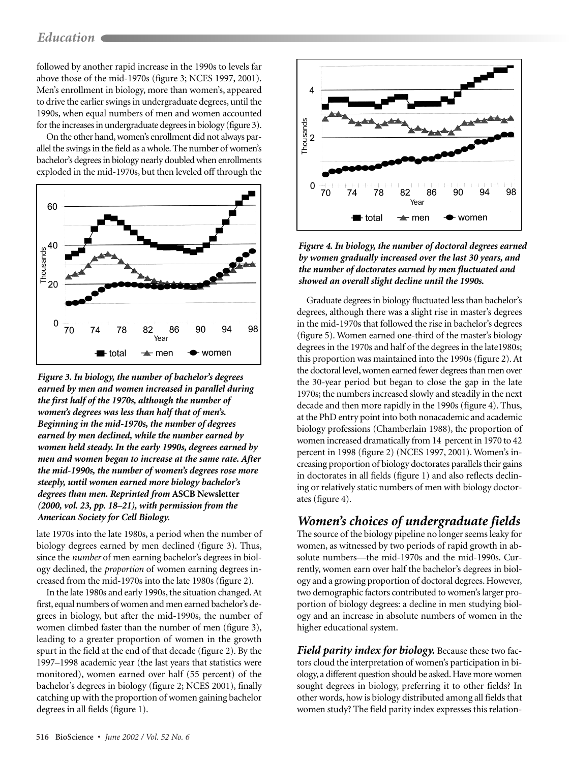followed by another rapid increase in the 1990s to levels far above those of the mid-1970s (figure 3; NCES 1997, 2001). Men's enrollment in biology, more than women's, appeared to drive the earlier swings in undergraduate degrees, until the 1990s, when equal numbers of men and women accounted for the increases in undergraduate degrees in biology (figure 3).

On the other hand, women's enrollment did not always parallel the swings in the field as a whole. The number of women's bachelor's degrees in biology nearly doubled when enrollments exploded in the mid-1970s, but then leveled off through the



*Figure 3. In biology, the number of bachelor's degrees earned by men and women increased in parallel during the first half of the 1970s, although the number of women's degrees was less than half that of men's. Beginning in the mid-1970s, the number of degrees earned by men declined, while the number earned by women held steady. In the early 1990s, degrees earned by men and women began to increase at the same rate. After the mid-1990s, the number of women's degrees rose more steeply, until women earned more biology bachelor's degrees than men. Reprinted from* **ASCB Newsletter** *(2000, vol. 23, pp. 18–21), with permission from the American Society for Cell Biology.*

late 1970s into the late 1980s, a period when the number of biology degrees earned by men declined (figure 3). Thus, since the *number* of men earning bachelor's degrees in biology declined, the *proportion* of women earning degrees increased from the mid-1970s into the late 1980s (figure 2).

In the late 1980s and early 1990s, the situation changed. At first, equal numbers of women and men earned bachelor's degrees in biology, but after the mid-1990s, the number of women climbed faster than the number of men (figure 3), leading to a greater proportion of women in the growth spurt in the field at the end of that decade (figure 2). By the 1997–1998 academic year (the last years that statistics were monitored), women earned over half (55 percent) of the bachelor's degrees in biology (figure 2; NCES 2001), finally catching up with the proportion of women gaining bachelor degrees in all fields (figure 1).



*Figure 4. In biology, the number of doctoral degrees earned by women gradually increased over the last 30 years, and the number of doctorates earned by men fluctuated and*

Graduate degrees in biology fluctuated less than bachelor's degrees, although there was a slight rise in master's degrees in the mid-1970s that followed the rise in bachelor's degrees (figure 5). Women earned one-third of the master's biology degrees in the 1970s and half of the degrees in the late1980s; this proportion was maintained into the 1990s (figure 2). At the doctoral level, women earned fewer degrees than men over the 30-year period but began to close the gap in the late 1970s; the numbers increased slowly and steadily in the next decade and then more rapidly in the 1990s (figure 4). Thus, at the PhD entry point into both nonacademic and academic biology professions (Chamberlain 1988), the proportion of women increased dramatically from 14 percent in 1970 to 42 percent in 1998 (figure 2) (NCES 1997, 2001). Women's increasing proportion of biology doctorates parallels their gains in doctorates in all fields (figure 1) and also reflects declining or relatively static numbers of men with biology doctorates (figure 4).

# *Women's choices of undergraduate fields*

The source of the biology pipeline no longer seems leaky for women, as witnessed by two periods of rapid growth in absolute numbers—the mid-1970s and the mid-1990s. Currently, women earn over half the bachelor's degrees in biology and a growing proportion of doctoral degrees. However, two demographic factors contributed to women's larger proportion of biology degrees: a decline in men studying biology and an increase in absolute numbers of women in the higher educational system.

*Field parity index for biology.* Because these two factors cloud the interpretation of women's participation in biology, a different question should be asked. Have more women sought degrees in biology, preferring it to other fields? In other words, how is biology distributed among all fields that women study? The field parity index expresses this relation-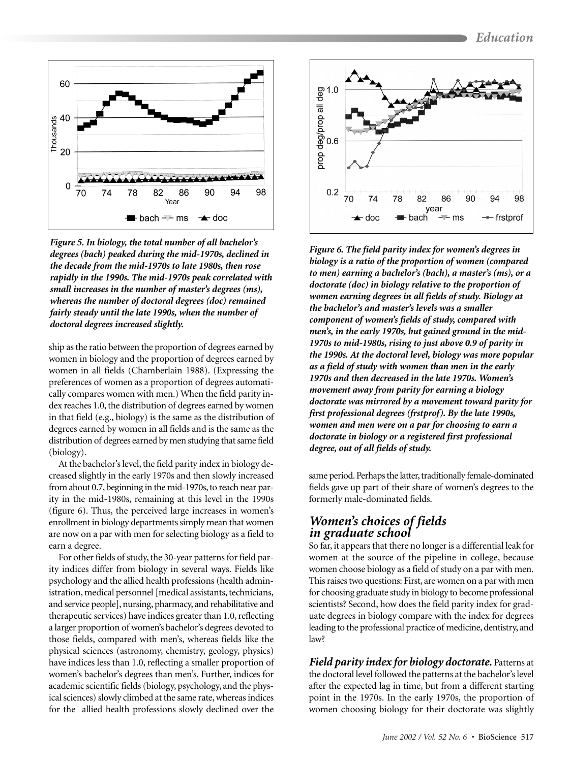![](_page_5_Figure_1.jpeg)

*Figure 5. In biology, the total number of all bachelor's degrees (bach) peaked during the mid-1970s, declined in the decade from the mid-1970s to late 1980s, then rose rapidly in the 1990s. The mid-1970s peak correlated with small increases in the number of master's degrees (ms), whereas the number of doctoral degrees (doc) remained fairly steady until the late 1990s, when the number of doctoral degrees increased slightly.*

ship as the ratio between the proportion of degrees earned by women in biology and the proportion of degrees earned by women in all fields (Chamberlain 1988). (Expressing the preferences of women as a proportion of degrees automatically compares women with men.) When the field parity index reaches 1.0, the distribution of degrees earned by women in that field (e.g., biology) is the same as the distribution of degrees earned by women in all fields and is the same as the distribution of degrees earned by men studying that same field (biology).

At the bachelor's level, the field parity index in biology decreased slightly in the early 1970s and then slowly increased from about 0.7, beginning in the mid-1970s, to reach near parity in the mid-1980s, remaining at this level in the 1990s (figure 6). Thus, the perceived large increases in women's enrollment in biology departments simply mean that women are now on a par with men for selecting biology as a field to earn a degree.

For other fields of study, the 30-year patterns for field parity indices differ from biology in several ways. Fields like psychology and the allied health professions (health administration, medical personnel [medical assistants, technicians, and service people], nursing, pharmacy, and rehabilitative and therapeutic services) have indices greater than 1.0, reflecting a larger proportion of women's bachelor's degrees devoted to those fields, compared with men's, whereas fields like the physical sciences (astronomy, chemistry, geology, physics) have indices less than 1.0, reflecting a smaller proportion of women's bachelor's degrees than men's. Further, indices for academic scientific fields (biology, psychology, and the physical sciences) slowly climbed at the same rate, whereas indices for the allied health professions slowly declined over the

![](_page_5_Figure_6.jpeg)

*Figure 6. The field parity index for women's degrees in biology is a ratio of the proportion of women (compared to men) earning a bachelor's (bach), a master's (ms), or a doctorate (doc) in biology relative to the proportion of women earning degrees in all fields of study. Biology at the bachelor's and master's levels was a smaller component of women's fields of study, compared with men's, in the early 1970s, but gained ground in the mid-1970s to mid-1980s, rising to just above 0.9 of parity in the 1990s. At the doctoral level, biology was more popular as a field of study with women than men in the early 1970s and then decreased in the late 1970s. Women's movement away from parity for earning a biology doctorate was mirrored by a movement toward parity for first professional degrees (frstprof). By the late 1990s, women and men were on a par for choosing to earn a doctorate in biology or a registered first professional degree, out of all fields of study.*

same period. Perhaps the latter, traditionally female-dominated fields gave up part of their share of women's degrees to the formerly male-dominated fields.

#### *Women's choices of fields in graduate school*

So far, it appears that there no longer is a differential leak for women at the source of the pipeline in college, because women choose biology as a field of study on a par with men. This raises two questions: First, are women on a par with men for choosing graduate study in biology to become professional scientists? Second, how does the field parity index for graduate degrees in biology compare with the index for degrees leading to the professional practice of medicine, dentistry, and law?

*Field parity index for biology doctorate.* Patterns at the doctoral level followed the patterns at the bachelor's level after the expected lag in time, but from a different starting point in the 1970s. In the early 1970s, the proportion of women choosing biology for their doctorate was slightly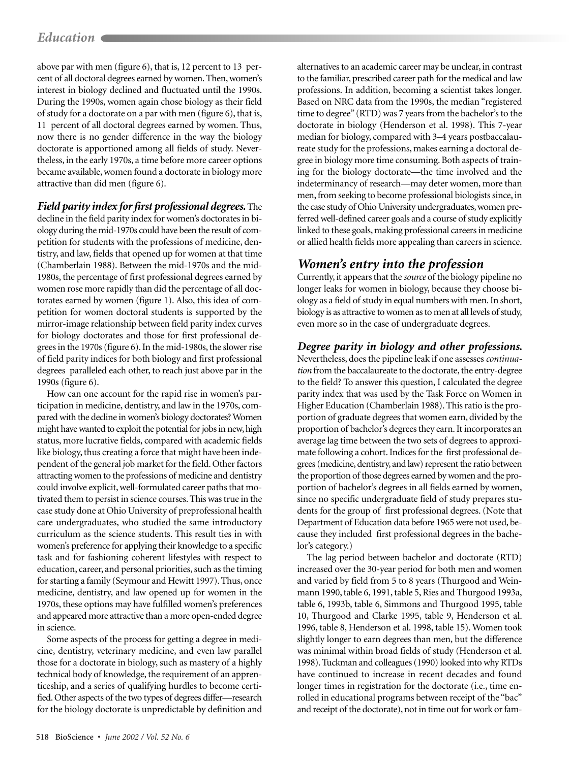above par with men (figure 6), that is, 12 percent to 13 percent of all doctoral degrees earned by women. Then, women's interest in biology declined and fluctuated until the 1990s. During the 1990s, women again chose biology as their field of study for a doctorate on a par with men (figure 6), that is, 11 percent of all doctoral degrees earned by women. Thus, now there is no gender difference in the way the biology doctorate is apportioned among all fields of study. Nevertheless, in the early 1970s, a time before more career options became available, women found a doctorate in biology more attractive than did men (figure 6).

#### *Field parity index for first professional degrees.* The

decline in the field parity index for women's doctorates in biology during the mid-1970s could have been the result of competition for students with the professions of medicine, dentistry, and law, fields that opened up for women at that time (Chamberlain 1988). Between the mid-1970s and the mid-1980s, the percentage of first professional degrees earned by women rose more rapidly than did the percentage of all doctorates earned by women (figure 1). Also, this idea of competition for women doctoral students is supported by the mirror-image relationship between field parity index curves for biology doctorates and those for first professional degrees in the 1970s (figure 6). In the mid-1980s, the slower rise of field parity indices for both biology and first professional degrees paralleled each other, to reach just above par in the 1990s (figure 6).

How can one account for the rapid rise in women's participation in medicine, dentistry, and law in the 1970s, compared with the decline in women's biology doctorates? Women might have wanted to exploit the potential for jobs in new, high status, more lucrative fields, compared with academic fields like biology, thus creating a force that might have been independent of the general job market for the field. Other factors attracting women to the professions of medicine and dentistry could involve explicit, well-formulated career paths that motivated them to persist in science courses. This was true in the case study done at Ohio University of preprofessional health care undergraduates, who studied the same introductory curriculum as the science students. This result ties in with women's preference for applying their knowledge to a specific task and for fashioning coherent lifestyles with respect to education, career, and personal priorities, such as the timing for starting a family (Seymour and Hewitt 1997). Thus, once medicine, dentistry, and law opened up for women in the 1970s, these options may have fulfilled women's preferences and appeared more attractive than a more open-ended degree in science.

Some aspects of the process for getting a degree in medicine, dentistry, veterinary medicine, and even law parallel those for a doctorate in biology, such as mastery of a highly technical body of knowledge, the requirement of an apprenticeship, and a series of qualifying hurdles to become certified. Other aspects of the two types of degrees differ—research for the biology doctorate is unpredictable by definition and alternatives to an academic career may be unclear, in contrast to the familiar, prescribed career path for the medical and law professions. In addition, becoming a scientist takes longer. Based on NRC data from the 1990s, the median "registered time to degree" (RTD) was 7 years from the bachelor's to the doctorate in biology (Henderson et al. 1998). This 7-year median for biology, compared with 3–4 years postbaccalaureate study for the professions, makes earning a doctoral degree in biology more time consuming. Both aspects of training for the biology doctorate—the time involved and the indeterminancy of research—may deter women, more than men, from seeking to become professional biologists since, in the case study of Ohio University undergraduates, women preferred well-defined career goals and a course of study explicitly linked to these goals, making professional careers in medicine or allied health fields more appealing than careers in science.

# *Women's entry into the profession*

Currently, it appears that the *source* of the biology pipeline no longer leaks for women in biology, because they choose biology as a field of study in equal numbers with men. In short, biology is as attractive to women as to men at all levels of study, even more so in the case of undergraduate degrees.

#### *Degree parity in biology and other professions.*

Nevertheless, does the pipeline leak if one assesses *continuation* from the baccalaureate to the doctorate, the entry-degree to the field? To answer this question, I calculated the degree parity index that was used by the Task Force on Women in Higher Education (Chamberlain 1988). This ratio is the proportion of graduate degrees that women earn, divided by the proportion of bachelor's degrees they earn. It incorporates an average lag time between the two sets of degrees to approximate following a cohort. Indices for the first professional degrees (medicine, dentistry, and law) represent the ratio between the proportion of those degrees earned by women and the proportion of bachelor's degrees in all fields earned by women, since no specific undergraduate field of study prepares students for the group of first professional degrees. (Note that Department of Education data before 1965 were not used, because they included first professional degrees in the bachelor's category.)

The lag period between bachelor and doctorate (RTD) increased over the 30-year period for both men and women and varied by field from 5 to 8 years (Thurgood and Weinmann 1990, table 6, 1991, table 5, Ries and Thurgood 1993a, table 6, 1993b, table 6, Simmons and Thurgood 1995, table 10, Thurgood and Clarke 1995, table 9, Henderson et al. 1996, table 8, Henderson et al. 1998, table 15). Women took slightly longer to earn degrees than men, but the difference was minimal within broad fields of study (Henderson et al. 1998). Tuckman and colleagues (1990) looked into why RTDs have continued to increase in recent decades and found longer times in registration for the doctorate (i.e., time enrolled in educational programs between receipt of the "bac" and receipt of the doctorate), not in time out for work or fam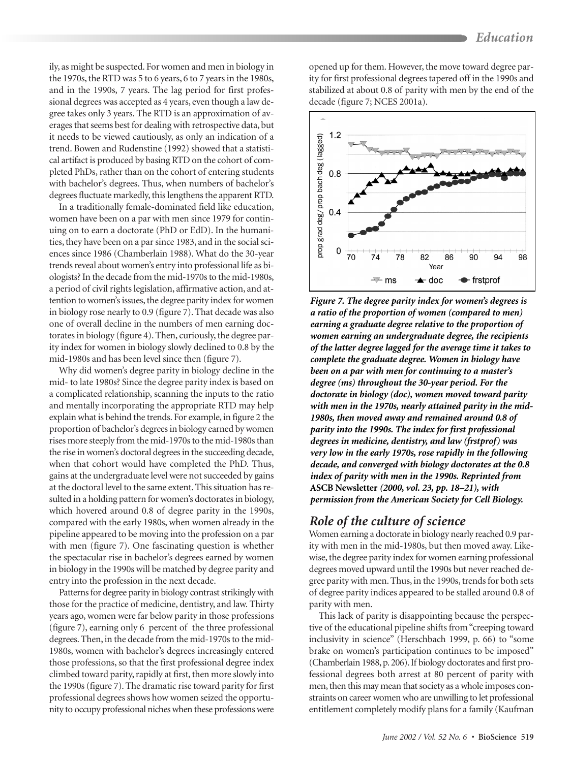ily, as might be suspected. For women and men in biology in the 1970s, the RTD was 5 to 6 years, 6 to 7 years in the 1980s, and in the 1990s, 7 years. The lag period for first professional degrees was accepted as 4 years, even though a law degree takes only 3 years. The RTD is an approximation of averages that seems best for dealing with retrospective data, but it needs to be viewed cautiously, as only an indication of a trend. Bowen and Rudenstine (1992) showed that a statistical artifact is produced by basing RTD on the cohort of completed PhDs, rather than on the cohort of entering students with bachelor's degrees. Thus, when numbers of bachelor's degrees fluctuate markedly, this lengthens the apparent RTD.

In a traditionally female-dominated field like education, women have been on a par with men since 1979 for continuing on to earn a doctorate (PhD or EdD). In the humanities, they have been on a par since 1983, and in the social sciences since 1986 (Chamberlain 1988). What do the 30-year trends reveal about women's entry into professional life as biologists? In the decade from the mid-1970s to the mid-1980s, a period of civil rights legislation, affirmative action, and attention to women's issues, the degree parity index for women in biology rose nearly to 0.9 (figure 7). That decade was also one of overall decline in the numbers of men earning doctorates in biology (figure 4). Then, curiously, the degree parity index for women in biology slowly declined to 0.8 by the mid-1980s and has been level since then (figure 7).

Why did women's degree parity in biology decline in the mid- to late 1980s? Since the degree parity index is based on a complicated relationship, scanning the inputs to the ratio and mentally incorporating the appropriate RTD may help explain what is behind the trends. For example, in figure 2 the proportion of bachelor's degrees in biology earned by women rises more steeply from the mid-1970s to the mid-1980s than the rise in women's doctoral degrees in the succeeding decade, when that cohort would have completed the PhD. Thus, gains at the undergraduate level were not succeeded by gains at the doctoral level to the same extent. This situation has resulted in a holding pattern for women's doctorates in biology, which hovered around 0.8 of degree parity in the 1990s, compared with the early 1980s, when women already in the pipeline appeared to be moving into the profession on a par with men (figure 7). One fascinating question is whether the spectacular rise in bachelor's degrees earned by women in biology in the 1990s will be matched by degree parity and entry into the profession in the next decade.

Patterns for degree parity in biology contrast strikingly with those for the practice of medicine, dentistry, and law. Thirty years ago, women were far below parity in those professions (figure 7), earning only 6 percent of the three professional degrees. Then, in the decade from the mid-1970s to the mid-1980s, women with bachelor's degrees increasingly entered those professions, so that the first professional degree index climbed toward parity, rapidly at first, then more slowly into the 1990s (figure 7). The dramatic rise toward parity for first professional degrees shows how women seized the opportunity to occupy professional niches when these professions were opened up for them. However, the move toward degree parity for first professional degrees tapered off in the 1990s and stabilized at about 0.8 of parity with men by the end of the decade (figure 7; NCES 2001a).

![](_page_7_Figure_6.jpeg)

*Figure 7. The degree parity index for women's degrees is a ratio of the proportion of women (compared to men) earning a graduate degree relative to the proportion of women earning an undergraduate degree, the recipients of the latter degree lagged for the average time it takes to complete the graduate degree. Women in biology have been on a par with men for continuing to a master's degree (ms) throughout the 30-year period. For the doctorate in biology (doc), women moved toward parity with men in the 1970s, nearly attained parity in the mid-1980s, then moved away and remained around 0.8 of parity into the 1990s. The index for first professional degrees in medicine, dentistry, and law (frstprof) was very low in the early 1970s, rose rapidly in the following decade, and converged with biology doctorates at the 0.8 index of parity with men in the 1990s. Reprinted from* **ASCB Newsletter** *(2000, vol. 23, pp. 18–21), with permission from the American Society for Cell Biology.*

# *Role of the culture of science*

Women earning a doctorate in biology nearly reached 0.9 parity with men in the mid-1980s, but then moved away. Likewise, the degree parity index for women earning professional degrees moved upward until the 1990s but never reached degree parity with men. Thus, in the 1990s, trends for both sets of degree parity indices appeared to be stalled around 0.8 of parity with men.

This lack of parity is disappointing because the perspective of the educational pipeline shifts from "creeping toward inclusivity in science" (Herschbach 1999, p. 66) to "some brake on women's participation continues to be imposed" (Chamberlain 1988, p. 206). If biology doctorates and first professional degrees both arrest at 80 percent of parity with men, then this may mean that society as a whole imposes constraints on career women who are unwilling to let professional entitlement completely modify plans for a family (Kaufman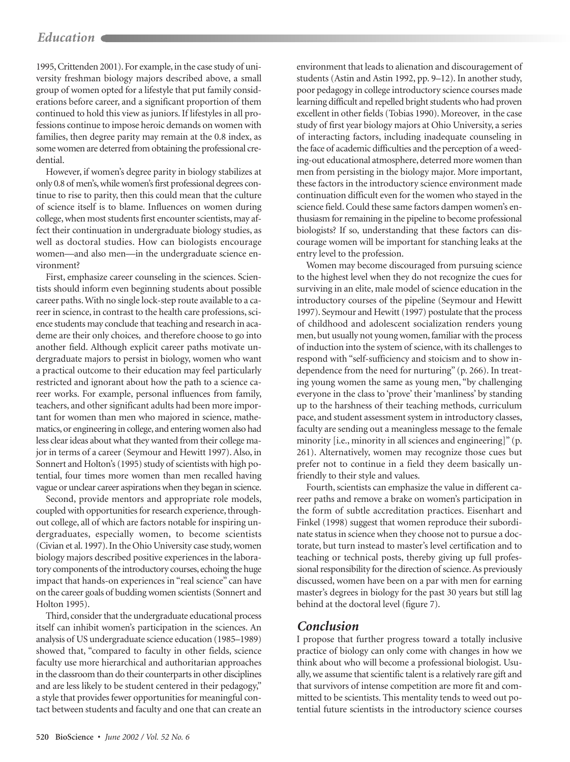1995, Crittenden 2001). For example, in the case study of university freshman biology majors described above, a small group of women opted for a lifestyle that put family considerations before career, and a significant proportion of them continued to hold this view as juniors. If lifestyles in all professions continue to impose heroic demands on women with families, then degree parity may remain at the 0.8 index, as some women are deterred from obtaining the professional credential.

However, if women's degree parity in biology stabilizes at only 0.8 of men's, while women's first professional degrees continue to rise to parity, then this could mean that the culture of science itself is to blame. Influences on women during college, when most students first encounter scientists, may affect their continuation in undergraduate biology studies, as well as doctoral studies. How can biologists encourage women—and also men—in the undergraduate science environment?

First, emphasize career counseling in the sciences. Scientists should inform even beginning students about possible career paths. With no single lock-step route available to a career in science, in contrast to the health care professions, science students may conclude that teaching and research in academe are their only choices, and therefore choose to go into another field. Although explicit career paths motivate undergraduate majors to persist in biology, women who want a practical outcome to their education may feel particularly restricted and ignorant about how the path to a science career works. For example, personal influences from family, teachers, and other significant adults had been more important for women than men who majored in science, mathematics, or engineering in college, and entering women also had less clear ideas about what they wanted from their college major in terms of a career (Seymour and Hewitt 1997). Also, in Sonnert and Holton's (1995) study of scientists with high potential, four times more women than men recalled having vague or unclear career aspirations when they began in science.

Second, provide mentors and appropriate role models, coupled with opportunities for research experience, throughout college, all of which are factors notable for inspiring undergraduates, especially women, to become scientists (Civian et al. 1997). In the Ohio University case study, women biology majors described positive experiences in the laboratory components of the introductory courses, echoing the huge impact that hands-on experiences in "real science" can have on the career goals of budding women scientists (Sonnert and Holton 1995).

Third, consider that the undergraduate educational process itself can inhibit women's participation in the sciences. An analysis of US undergraduate science education (1985–1989) showed that, "compared to faculty in other fields, science faculty use more hierarchical and authoritarian approaches in the classroom than do their counterparts in other disciplines and are less likely to be student centered in their pedagogy," a style that provides fewer opportunities for meaningful contact between students and faculty and one that can create an

environment that leads to alienation and discouragement of students (Astin and Astin 1992, pp. 9–12). In another study, poor pedagogy in college introductory science courses made learning difficult and repelled bright students who had proven excellent in other fields (Tobias 1990). Moreover, in the case study of first year biology majors at Ohio University, a series of interacting factors, including inadequate counseling in the face of academic difficulties and the perception of a weeding-out educational atmosphere, deterred more women than men from persisting in the biology major. More important, these factors in the introductory science environment made continuation difficult even for the women who stayed in the science field. Could these same factors dampen women's enthusiasm for remaining in the pipeline to become professional biologists? If so, understanding that these factors can discourage women will be important for stanching leaks at the entry level to the profession.

Women may become discouraged from pursuing science to the highest level when they do not recognize the cues for surviving in an elite, male model of science education in the introductory courses of the pipeline (Seymour and Hewitt 1997). Seymour and Hewitt (1997) postulate that the process of childhood and adolescent socialization renders young men, but usually not young women, familiar with the process of induction into the system of science, with its challenges to respond with "self-sufficiency and stoicism and to show independence from the need for nurturing" (p. 266). In treating young women the same as young men, "by challenging everyone in the class to 'prove' their 'manliness' by standing up to the harshness of their teaching methods, curriculum pace, and student assessment system in introductory classes, faculty are sending out a meaningless message to the female minority [i.e., minority in all sciences and engineering]" (p. 261). Alternatively, women may recognize those cues but prefer not to continue in a field they deem basically unfriendly to their style and values.

Fourth, scientists can emphasize the value in different career paths and remove a brake on women's participation in the form of subtle accreditation practices. Eisenhart and Finkel (1998) suggest that women reproduce their subordinate status in science when they choose not to pursue a doctorate, but turn instead to master's level certification and to teaching or technical posts, thereby giving up full professional responsibility for the direction of science. As previously discussed, women have been on a par with men for earning master's degrees in biology for the past 30 years but still lag behind at the doctoral level (figure 7).

#### *Conclusion*

I propose that further progress toward a totally inclusive practice of biology can only come with changes in how we think about who will become a professional biologist. Usually, we assume that scientific talent is a relatively rare gift and that survivors of intense competition are more fit and committed to be scientists. This mentality tends to weed out potential future scientists in the introductory science courses